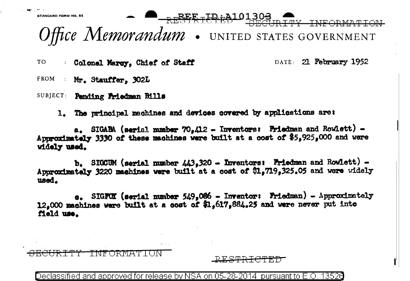STANDARD FORM NO. 64 TY INFORMATION Office Memorandum . UNITED STATES GOVERNMENT

TO Colonel Margy, Chief of Staff DATE: 21 February 1952

FROM : Mr. Stauffer, 302L

SUBJECT: Pending Friedman Bills

1. The principal machines and devices covered by applications are:

 $a_{\bullet}$  SIGABA (serial number 70.412 - Inventors: Friedman and Rowlett) -Approximately 3330 of these machines were built at a cost of \$5,925,000 and were widely used.

b. SIGCUM (serial number  $443.320$  - Inventors: Friedman and Rowlett) -Approximately 3220 machines were built at a cost of \$1,719,325.05 and were widely used.

 $\sigma$ . SIGFOX (serial number 549,086 - Inventor: Friedman) - Approximately 12.000 machines were built at a cost of \$1,617,884.25 and were never put into Meld use.

Declassified and approved for release by NSA on 05-28-2014 pursuant to E.O 13526